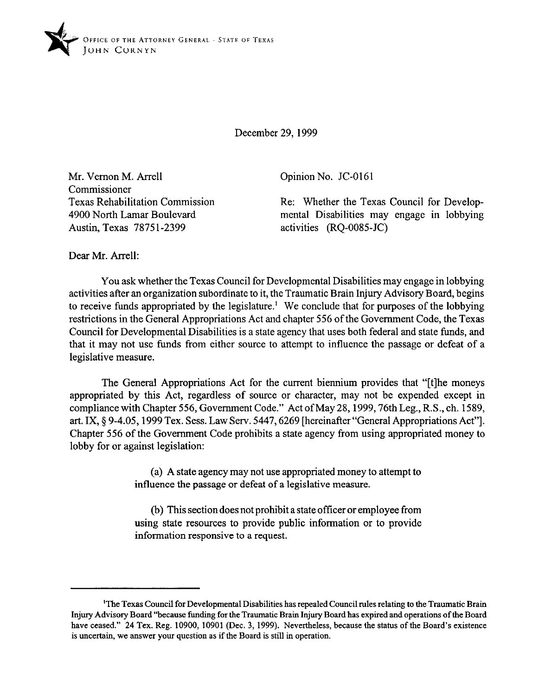

December 29, 1999

Mr. Vernon M. Arrell Commissioner Texas Rehabilitation Commission 4900 North Lamar Boulevard Austin, Texas 78751-2399

Opinion No. JC-0161

Re: Whether the Texas Council for Developmental Disabilities may engage in lobbying activities (RQ-OOSS-JC)

Dear Mr. Arrell:

You ask whether the Texas Council for Developmental Disabilities may engage in lobbying activities after an organization subordinate to it, the Traumatic Brain Injury Advisory Board, begins to receive funds appropriated by the legislature.' We conclude that for purposes of the lobbying restrictions in the General Appropriations Act and chapter 556 of the Government Code, the Texas Council for Developmental Disabilities is a state agency that uses both federal and state funds, and that it may not use funds from either source to attempt to influence the passage or defeat of a legislative measure.

The General Appropriations Act for the current biennium provides that "[tlhe moneys appropriated by this Act, regardless of source or character, may not be expended except in compliance with Chapter 556, Government Code." Act of May 28, 1999, 76th Leg., R.S., ch. 1589, art. IX, \$9-4.05,1999 Tex. Sess. Law Serv. 5447,6269 [hereinafter "General Appropriations Act"]. Chapter 556 of the Government Code prohibits a state agency from using appropriated money to lobby for or against legislation:

> (a) A state agency may not use appropriated money to attempt to influence the passage or defeat of a legislative measure.

> (b) This section does not prohibit a state officer or employee from using state resources to provide public information or to provide information responsive to a request.

**<sup>&#</sup>x27;Tbe Texas Council for Developmental Disabilities has repealed Council rules relating to the Traumatic Brain Injuy Advisory Board "because funding for the Traumatic Brain Injury Board has expired and operations of the Board have ceased." 24 Tex. Reg. 10900, 10901 (Dec. 3, 1999). Nevertheless, because the status of the Board's existence is uncertain, we answer your question as if the Board is still in operation.**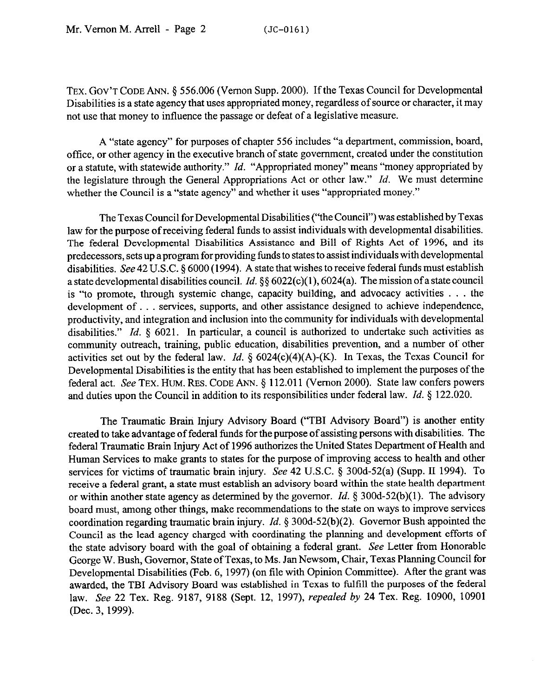TEX. GOV'T CODE ANN. § 556.006 (Vernon Supp. 2000). If the Texas Council for Developmental Disabilities is a state agency that uses appropriated money, regardless of source or character, it may not use that money to influence the passage or defeat of a legislative measure.

A "state agency" for purposes of chapter 556 includes "a department, commission, board, office, or other agency in the executive branch of state government, created under the constitution or a statute, with statewide authority." *Id.* "Appropriated money" means "money appropriated by the legislature through the General Appropriations Act or other law." *Id.* We must determine whether the Council is a "state agency" and whether it uses "appropriated money."

The Texas Council for Developmental Disabilities ("the Council") was established by Texas law for the purpose of receiving federal funds to assist individuals with developmental disabilities. The federal Developmental Disabilities Assistance and Bill of Rights Act of 1996, and its predecessors, sets up a program for providing funds to states to assist individuals with developmental disabilities. See 42 U.S.C. 5 6000 (1994). A state that wishes to receive federal funds must establish a state developmental disabilities council. *Id.* §§ 6022(c)(1), 6024(a). The mission of a state council is "to promote, through systemic change, capacity building, and advocacy activities  $\ldots$  the development of... services, supports, and other assistance designed to achieve independence, productivity, and integration and inclusion into the community for individuals with developmental disabilities." *Id.* § 6021. In particular, a council is authorized to undertake such activities as community outreach, training, public education, disabilities prevention, and a number of other activities set out by the federal law. *Id.* 5 6024(c)(4)(A)-(K). In Texas, the Texas Council for Developmental Disabilities is the entity that has been established to implement the purposes of the federal act. See TEX. HUM. RES. CODE ANN. § 112.011 (Vernon 2000). State law confers powers and duties upon the Council in addition to its responsibilities under federal law. *Id. 5* 122.020.

The Traumatic Brain Injury Advisory Board ("TBI Advisory Board") is another entity created to take advantage of federal funds for the purpose of assisting persons with disabilities. The federal Traumatic Brain Injury Act of 1996 authorizes the United States Department of Health and Human Services to make grants to states for the purpose of improving access to health and other services for victims of traumatic brain injury. See 42 U.S.C. § 300d-52(a) (Supp. II 1994). To receive a federal grant, a state must establish an advisory board within the state health department or within another state agency as determined by the governor. *Id.* § 300d-52(b)(1). The advisory board must, among other things, make recommendations to the state on ways to improve services coordination regarding traumatic brain injury. *Id.* 5 300d-52(b)(2). Governor Bush appointed the Council as the lead agency charged with coordinating the planning and development efforts of the state advisory board with the goal of obtaining a federal grant. See Letter from Honorable George W. Bush, Governor, State of Texas, to Ms. Jan Newsom, Chair, Texas Planning Council for Developmental Disabilities (Feb. 6, 1997) (on file with Opinion Committee). After the grant was awarded, the TBI Advisory Board was established in Texas to fulfill the purposes of the federal law. See 22 Tex. Reg. 9187, 9188 (Sept. 12, 1997), *repealed by 24 Tex.* Reg. 10900, 10901 (Dec. 3, 1999).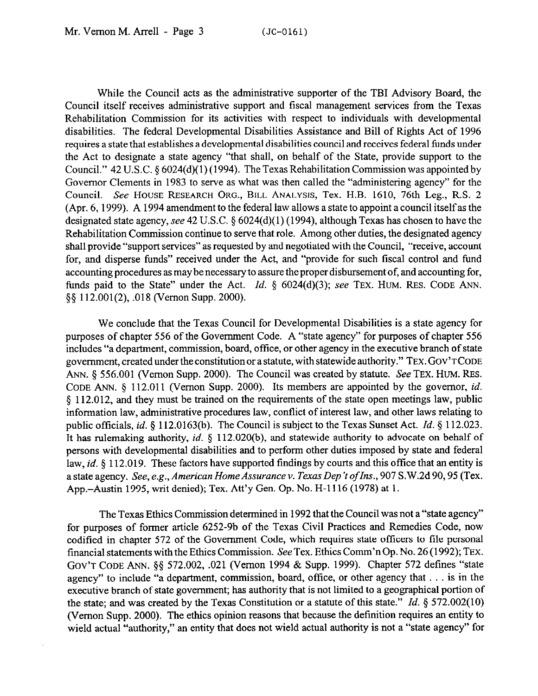While the Council acts as the administrative supporter of the TBI Advisory Board, the Council itself receives administrative support and fiscal management services from the Texas Rehabilitation Commission for its activities with respect to individuals with developmental disabilities. The federal Developmental Disabilities Assistance and Bill of Rights Act of 1996 requires a state that establishes a developmental disabilities council and receives federal funds under the Act to designate a state agency "that shall, on behalf of the State, provide support to the Council." 42 U.S.C. § 6024(d)( 1) (1994). The Texas Rehabilitation Commission was appointed by Governor Clements in 1983 to serve as what was then called the "administering agency" for the Council. See HOUSE RESEARCH ORG., BILL ANALYSIS, Tex. H.B. 1610, 76th Leg., R.S. 2 (Apr. 6, 1999). A 1994 amendment to the federal law allows a state to appoint a council itselfas the designated state agency, see 42 U.S.C.  $\S 6024(d)(1)$  (1994), although Texas has chosen to have the Rehabilitation Commission continue to serve that role. Among other duties, the designated agency shall provide "support services" as requested by and negotiated with the Council, "receive, account for, and disperse funds" received under the Act, and "provide for such fiscal control and fund accounting procedures as may be necessary to assure the proper disbursement of, and accounting for, funds paid to the State" under the Act. *Id.*  $\&$  6024(d)(3); see TEX. HUM. RES. CODE ANN. \$9 112.001(2), ,018 (Vernon Supp. 2000).

We conclude that the Texas Council for Developmental Disabilities is a state agency for purposes of chapter 556 of the Government Code. A "state agency" for purposes of chapter 556 includes "a department, commission, board, office, or other agency in the executive branch of state government, created under the constitution or a statute, with statewide authority." TEX. GOV'TCODE ANN.  $\delta$  556.001 (Vernon Supp. 2000). The Council was created by statute. See TEX. HUM. RES. CODE ANN. 5 112.011 (Vernon Supp. 2000). Its members are appointed by the governor, *id.*  § 112.012, and they must be trained on the requirements of the state open meetings law, public information law, administrative procedures law, conflict of interest law, and other laws relating to public officials, *id.* 5 112.0163(b). The Council is subject to the Texas Sunset Act. *Id. 5* 112.023. It has rulemaking authority, *id.* 5 112.020(b), and statewide authority to advocate on behalf of persons with developmental disabilities and to perform other duties imposed by state and federal law, *id.* § 112.019. These factors have supported findings by courts and this office that an entity is a state agency. See, e.g., American Home Assurance v. Texas Dep't of Ins., 907 S.W.2d 90, 95 (Tex. App.-Austin 1995, writ denied); Tex. Att'y Gen. Op. No. H-l 116 (1978) at 1.

The Texas Ethics Commission determined in 1992 that the Council was not a "state agency" for purposes of former article 6252-9b of the Texas Civil Practices and Remedies Code, now codified in chapter 572 of the Government Code, which requires state officers to file personal financial statements with the Ethics Commission. See Tex. Ethics Comm'n Op. No. 26 (1992); TEX. **C&VT CODE** ANN. \$5 572.002, .021 (Vernon 1994 & Supp. 1999). Chapter 572 defines "state agency" to include "a department, commission, board, office, or other agency that . . . is in the executive branch of state government; has authority that is not limited to a geographical portion of the state; and was created by the Texas Constitution or a statute of this state." *Id.* § 572.002(10) (Vernon Supp. 2000). The ethics opinion reasons that because the definition requires an entity to wield actual "authority," an entity that does not wield actual authority is not a "state agency" for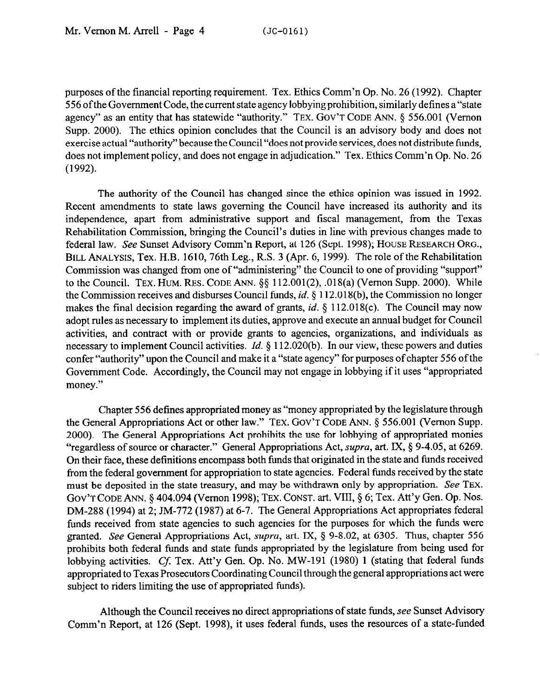purposes of the financial reporting requirement. Tex. Ethics Comm'n Op. No. 26 (1992). Chapter 556 ofthe Government Code, the current state agency lobbying prohibition, similarly defines a"state agency" as an entity that has statewide "authority." TEX. GOV'T CODE ANN. § 556.001 (Vernon Supp. 2000). The ethics opinion concludes that the Council is an advisory body and does not exercise actual "authority" because the Council "does not provide services, does not distribute funds, does not implement policy, and does not engage in adjudication." Tex. Ethics Comm'n Op. No. 26 (1992).

The authority of the Council has changed since the ethics opinion was issued in 1992. Recent amendments to state laws governing the Council have increased its authority and its independence, apart from administrative support and fiscal management, from the Texas Rehabilitation Commission, bringing the Council's duties in line with previous changes made to federal law. See Sunset Advisory Comm'n Report, at 126 (Sept. 1998); HOUSE RESEARCH ORG., BILL ANALYSIS, Tex. H.B. 1610, 76th Leg., R.S. 3 (Apr. 6, 1999). The role of the Rehabilitation Commission was changed from one of "administering" the Council to one of providing "support" to the Council. TEX. HUM. RES. CODE ANN.  $\S\S$  112.001(2), .018(a) (Vernon Supp. 2000). While the Commission receives and disburses Council funds, *id.* 5 112.018(b), the Commission no longer makes the final decision regarding the award of grants, *id. 5* 112.018(c). The Council may now adopt rules as necessary to implement its duties, approve and execute an annual budget for Council activities, and contract with or provide grants to agencies, organizations, and individuals as necessary to implement Council activities. *Id.* § 112.020(b). In our view, these powers and duties confer "authority" upon the Council and make it a "state agency" for purposes of chapter 556 of the Government Code. Accordingly, the Council may not engage in lobbying if it uses "appropriated money."

Chapter 556 defines appropriated money as "money appropriated by the legislature through the General Appropriations Act or other law." TEX. GOV'T CODE ANN. § 556.001 (Vernon Supp. 2000). The General Appropriations Act prohibits the use for lobbying of appropriated monies "regardless of source or character." General Appropriations Act, *supra*, art. IX, § 9-4.05, at 6269. On their face, these definitions encompass both funds that originated in the state and fimds received from the federal government for appropriation to state agencies. Federal funds received by the state must be deposited in the state treasury, and may be withdrawn only by appropriation. See TEX. GOV'T CODE ANN. 5 404.094 (Vernon 1998); TEX. CONST. art. VIII, 9 6; Tex. Att'y Gen. Op. Nos. DM-288 (1994) at 2; JM-772 (1987) at 6-7. The General Appropriations Act appropriates federal funds received from state agencies to such agencies for the purposes for which the funds were granted. See General Appropriations Act, *supra*, art. IX, § 9-8.02, at 6305. Thus, chapter 556 prohibits both federal funds and state funds appropriated by the legislature from being used for lobbying activities. Cf. Tex. Att'y Gen. Op. No. MW-191 (1980) 1 (stating that federal funds appropriated to Texas Prosecutors Coordinating Council through the general appropriations act were subject to riders limiting the use of appropriated funds).

Although the Council receives no direct appropriations of state funds, see Sunset Advisory Comm'n Report, at 126 (Sept. 1998), it uses federal funds, uses the resources of a state-funded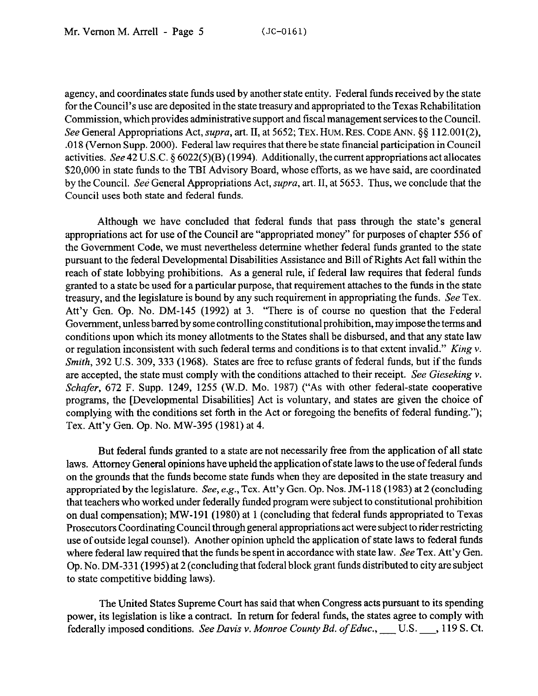agency, and coordinates state funds used by another state entity. Federal funds received by the state for the Council's use are deposited in the state treasury and appropriated to the Texas Rehabilitation Commission, which provides administrative support and fiscal management services to the Council. See General Appropriations Act, *supra*, art. II, at 5652; TEX. HUM. RES. CODE ANN. §§ 112.001(2), ,018 (Vernon Supp. 2000). Federal law requires that there be state financial participation in Council activities. See 42 U.S.C.  $\S 6022(5)(B)$  (1994). Additionally, the current appropriations act allocates \$20,000 in state funds to the TBI Advisory Board, whose efforts, as we have said, are coordinated by the Council. See General Appropriations Act, *supra,* art. II, at 5653. Thus, we conclude that the Council uses both state and federal funds.

Although we have concluded that federal funds that pass through the state's general appropriations act for use of the Council are "appropriated money" for purposes of chapter 556 of the Government Code, we must nevertheless determine whether federal funds granted to the state pursuant to the federal Developmental Disabilities Assistance and Bill of Rights Act fall within the reach of state lobbying prohibitions. As a general rule, if federal law requires that federal funds granted to a state be used for a particular purpose, that requirement attaches to the funds in the state treasury, and the legislature is bound by any such requirement in appropriating the funds. See Tex. Att'y Gen. Op. No. DM-145 (1992) at 3. "There is of course no question that the Federal Government, unless barred by some controlling constitutional prohibition, may impose the terms and conditions upon which its money allotments to the States shall be disbursed, and that any state law or regulation inconsistent with such federal terms and conditions is to that extent invalid." *King v. Smith,* 392 U.S. 309, 333 (1968). States are free to refuse grants of federal funds, but if the funds are accepted, the state must comply with the conditions attached to their receipt. See *Gieseking v. Schafer,* 672 F. Supp. 1249, 1255 (W.D. MO. 1987) ("As with other federal-state cooperative programs, the [Developmental Disabilities] Act is voluntary, and states are given the choice of complying with the conditions set forth in the Act or foregoing the benefits of federal funding."); Tex. Att'y Gen. Op. No. MW-395 (1981) at 4.

But federal funds granted to a state are not necessarily free from the application of all state laws. Attorney General opinions have upheld the application of state laws to the use of federal funds on the grounds that the funds become state funds when they are deposited in the state treasury and appropriated by the legislature. See, e.g., Tex. Att'y Gen. Op. Nos. JM-118 (1983) at 2 (concluding that teachers who worked under federally funded program were subject to constitutional prohibition on dual compensation); MW-191 (1980) at 1 (concluding that federal funds appropriated to Texas Prosecutors Coordinating Council through general appropriations act were subject to rider restricting use of outside legal counsel). Another opinion upheld the application of state laws to federal funds where federal law required that the funds be spent in accordance with state law. See Tex. Att'y Gen. Op. No. DM-33 1(1995) at 2 (concluding that federal block grant funds distributed to city are subject to state competitive bidding laws).

The United States Supreme Court has said that when Congress acts pursuant to its spending power, its legislation is like a contract. In return for federal funds, the states agree to comply with federally imposed conditions. See Davis v. Monroe County Bd. of Educ., \_\_\_ U.S. \_\_\_, 119 S. Ct.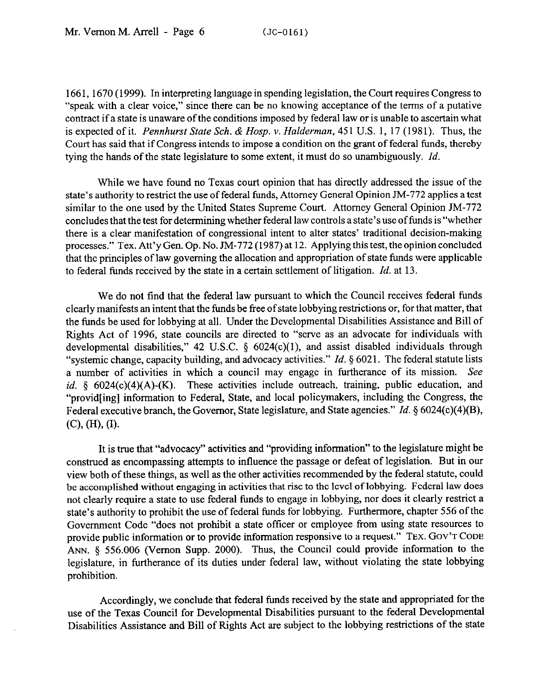1661,167O (1999). In interpreting language in spending legislation, the Court requires Congress to "speak with a clear voice," since there can be no knowing acceptance of the terms of a putative contract if a state is unaware of the conditions imposed by federal law or is unable to ascertain what is expected of it. *Pennhurst State Sch. & Hosp. Y. Hulderman,* 451 U.S. 1, 17 (1981). Thus, the Court has said that if Congress intends to impose a condition on the grant of federal funds, thereby tying the hands of the state legislature to some extent, it must do so unambiguously. *Id.* 

While we have found no Texas court opinion that has directly addressed the issue of the state's authority to restrict the use of federal funds, Attorney General Opinion JM-772 applies a test similar to the one used by the United States Supreme Court. Attorney General Opinion JM-772 concludes that the test for determining whether federal law controls a state's use of funds is "whether there is a clear manifestation of congressional intent to alter states' traditional decision-making processes." Tex. Att'y Gen. Op. No. JM-772 (1987) at 12. Applying this test, the opinion concluded that the principles of law governing the allocation and appropriation of state funds were applicable to federal funds received by the state in a certain settlement of litigation. *Id.* at 13.

We do not find that the federal law pursuant to which the Council receives federal funds clearly manifests an intent that the funds be free of state lobbying restrictions or, for that matter, that the funds be used for lobbying at all. Under the Developmental Disabilities Assistance and Bill of Rights Act of 1996, state councils are directed to "serve as an advocate for individuals with developmental disabilities," 42 U.S.C.  $\S$  6024(c)(1), and assist disabled individuals through "systemic change, capacity building, and advocacy activities." *Id.* § 6021. The federal statute lists a number of activities in which a council may engage in furtherance of its mission. See id. § 6024(c)(4)(A)-(K). These activities include outreach, training, public education, and "provid[ing] information to Federal, State, and local policymakers, including the Congress, the Federal executive branch, the Governor, State legislature, and State agencies." *Id. \$6024(c)(4)(B), (C), (H), (I).* 

It is true that "advocacy" activities and "providing information" to the legislature might be construed as encompassing attempts to influence the passage or defeat of legislation. But in our view both of these things, as well as the other activities recommended by the federal statute, could be accomplished without engaging in activities that rise to the level of lobbying. Federal law does not clearly require a state to use federal funds to engage in lobbying, nor does it clearly restrict a state's authority to prohibit the use of federal funds for lobbying. Furthermore, chapter 556 of the Government Code "does not prohibit a state officer or employee from using state resources to provide public information or to provide information responsive to a request." TEX. GOV'T CODE ANN. 5 556.006 (Vernon Supp. 2000). Thus, the Council could provide information to the legislature, in furtherance of its duties under federal law, without violating the state lobbying prohibition.

Accordingly, we conclude that federal funds received by the state and appropriated for the use of the Texas Council for Developmental Disabilities pursuant to the federal Developmental Disabilities Assistance and Bill of Rights Act are subject to the lobbying restrictions of the state